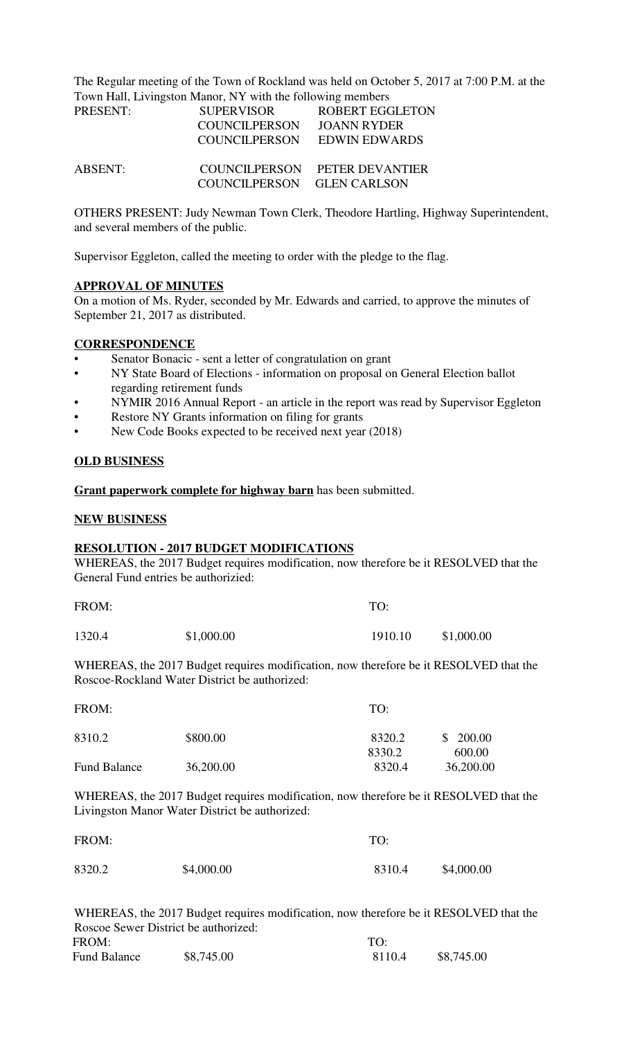The Regular meeting of the Town of Rockland was held on October 5, 2017 at 7:00 P.M. at the Town Hall, Livingston Manor, NY with the following members

| PRESENT:       | <b>SUPERVISOR</b>          | <b>ROBERT EGGLETON</b>        |
|----------------|----------------------------|-------------------------------|
|                | <b>COUNCILPERSON</b>       | JOANN RYDER                   |
|                |                            | COUNCILPERSON EDWIN EDWARDS   |
| <b>ABSENT:</b> |                            | COUNCILPERSON PETER DEVANTIER |
|                | COUNCILPERSON GLEN CARLSON |                               |

OTHERS PRESENT: Judy Newman Town Clerk, Theodore Hartling, Highway Superintendent, and several members of the public.

Supervisor Eggleton, called the meeting to order with the pledge to the flag.

#### **APPROVAL OF MINUTES**

On a motion of Ms. Ryder, seconded by Mr. Edwards and carried, to approve the minutes of September 21, 2017 as distributed.

## **CORRESPONDENCE**

- Senator Bonacic sent a letter of congratulation on grant
- NY State Board of Elections information on proposal on General Election ballot regarding retirement funds
- NYMIR 2016 Annual Report an article in the report was read by Supervisor Eggleton
- Restore NY Grants information on filing for grants
- New Code Books expected to be received next year (2018)

## **OLD BUSINESS**

**Grant paperwork complete for highway barn** has been submitted.

#### **NEW BUSINESS**

#### **RESOLUTION - 2017 BUDGET MODIFICATIONS**

WHEREAS, the 2017 Budget requires modification, now therefore be it RESOLVED that the General Fund entries be authorizied:

| FROM:  |            | TO:     |            |
|--------|------------|---------|------------|
| 1320.4 | \$1,000.00 | 1910.10 | \$1,000.00 |

WHEREAS, the 2017 Budget requires modification, now therefore be it RESOLVED that the Roscoe-Rockland Water District be authorized:

| FROM:               |           | TO:              |                     |
|---------------------|-----------|------------------|---------------------|
| 8310.2              | \$800.00  | 8320.2           | \$200.00            |
| <b>Fund Balance</b> | 36,200.00 | 8330.2<br>8320.4 | 600.00<br>36,200.00 |

WHEREAS, the 2017 Budget requires modification, now therefore be it RESOLVED that the Livingston Manor Water District be authorized:

| FROM:  |            | TO:    |            |
|--------|------------|--------|------------|
| 8320.2 | \$4,000.00 | 8310.4 | \$4,000.00 |

WHEREAS, the 2017 Budget requires modification, now therefore be it RESOLVED that the Roscoe Sewer District be authorized: FROM: TO: Fund Balance  $$8,745.00$  8110.4  $$8,745.00$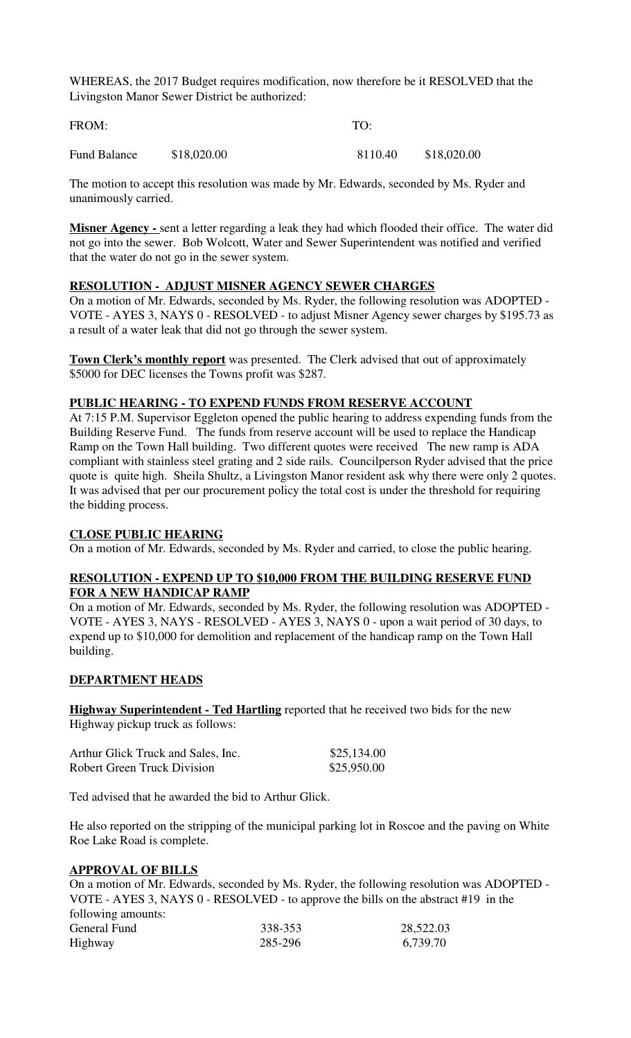WHEREAS, the 2017 Budget requires modification, now therefore be it RESOLVED that the Livingston Manor Sewer District be authorized:

| FROM:        |             | TO:     |             |
|--------------|-------------|---------|-------------|
| Fund Balance | \$18,020.00 | 8110.40 | \$18,020.00 |

The motion to accept this resolution was made by Mr. Edwards, seconded by Ms. Ryder and unanimously carried.

**Misner Agency -** sent a letter regarding a leak they had which flooded their office. The water did not go into the sewer. Bob Wolcott, Water and Sewer Superintendent was notified and verified that the water do not go in the sewer system.

## **RESOLUTION - ADJUST MISNER AGENCY SEWER CHARGES**

On a motion of Mr. Edwards, seconded by Ms. Ryder, the following resolution was ADOPTED - VOTE - AYES 3, NAYS 0 - RESOLVED - to adjust Misner Agency sewer charges by \$195.73 as a result of a water leak that did not go through the sewer system.

**Town Clerk's monthly report** was presented. The Clerk advised that out of approximately \$5000 for DEC licenses the Towns profit was \$287.

## **PUBLIC HEARING - TO EXPEND FUNDS FROM RESERVE ACCOUNT**

At 7:15 P.M. Supervisor Eggleton opened the public hearing to address expending funds from the Building Reserve Fund. The funds from reserve account will be used to replace the Handicap Ramp on the Town Hall building. Two different quotes were received The new ramp is ADA compliant with stainless steel grating and 2 side rails. Councilperson Ryder advised that the price quote is quite high. Sheila Shultz, a Livingston Manor resident ask why there were only 2 quotes. It was advised that per our procurement policy the total cost is under the threshold for requiring the bidding process.

## **CLOSE PUBLIC HEARING**

On a motion of Mr. Edwards, seconded by Ms. Ryder and carried, to close the public hearing.

## **RESOLUTION - EXPEND UP TO \$10,000 FROM THE BUILDING RESERVE FUND FOR A NEW HANDICAP RAMP**

On a motion of Mr. Edwards, seconded by Ms. Ryder, the following resolution was ADOPTED - VOTE - AYES 3, NAYS - RESOLVED - AYES 3, NAYS 0 - upon a wait period of 30 days, to expend up to \$10,000 for demolition and replacement of the handicap ramp on the Town Hall building.

## **DEPARTMENT HEADS**

**Highway Superintendent - Ted Hartling** reported that he received two bids for the new Highway pickup truck as follows:

| Arthur Glick Truck and Sales, Inc. | \$25,134.00 |
|------------------------------------|-------------|
| <b>Robert Green Truck Division</b> | \$25,950.00 |

Ted advised that he awarded the bid to Arthur Glick.

He also reported on the stripping of the municipal parking lot in Roscoe and the paving on White Roe Lake Road is complete.

## **APPROVAL OF BILLS**

On a motion of Mr. Edwards, seconded by Ms. Ryder, the following resolution was ADOPTED - VOTE - AYES 3, NAYS 0 - RESOLVED - to approve the bills on the abstract #19 in the following amounts: General Fund 338-353 28,522.03 Highway 285-296 6,739.70